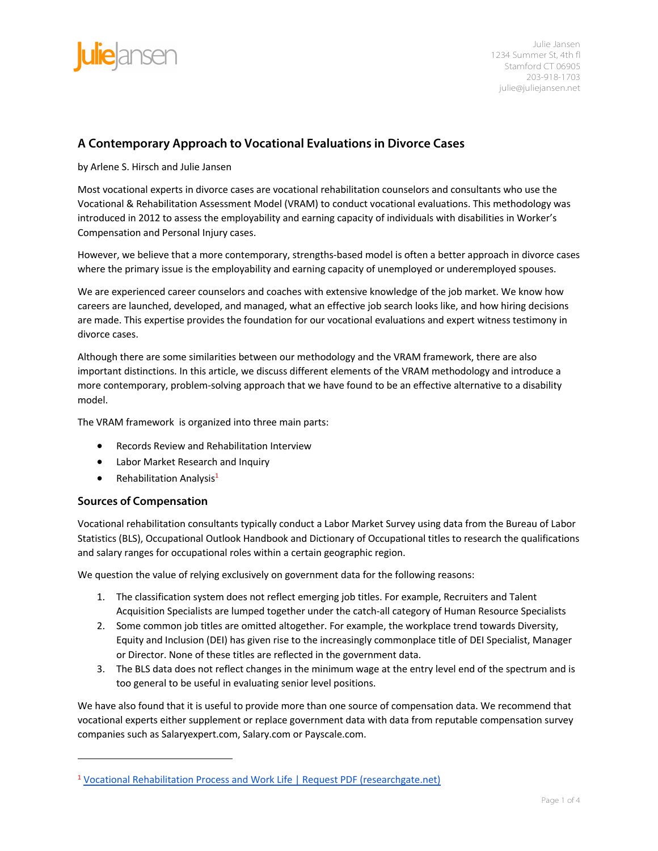

# **A Contemporary Approach to Vocational Evaluations in Divorce Cases**

by Arlene S. Hirsch and Julie Jansen

Most vocational experts in divorce cases are vocational rehabilitation counselors and consultants who use the Vocational & Rehabilitation Assessment Model (VRAM) to conduct vocational evaluations. This methodology was introduced in 2012 to assess the employability and earning capacity of individuals with disabilities in Worker's Compensation and Personal Injury cases.

However, we believe that a more contemporary, strengths-based model is often a better approach in divorce cases where the primary issue is the employability and earning capacity of unemployed or underemployed spouses.

We are experienced career counselors and coaches with extensive knowledge of the job market. We know how careers are launched, developed, and managed, what an effective job search looks like, and how hiring decisions are made. This expertise provides the foundation for our vocational evaluations and expert witness testimony in divorce cases.

Although there are some similarities between our methodology and the VRAM framework, there are also important distinctions. In this article, we discuss different elements of the VRAM methodology and introduce a more contemporary, problem-solving approach that we have found to be an effective alternative to a disability model.

The VRAM framework is organized into three main parts:

- Records Review and Rehabilitation Interview
- Labor Market Research and Inquiry
- Rehabilitation Analysis<sup>1</sup>

### **Sources of Compensation**

Vocational rehabilitation consultants typically conduct a Labor Market Survey using data from the Bureau of Labor Statistics (BLS), Occupational Outlook Handbook and Dictionary of Occupational titles to research the qualifications and salary ranges for occupational roles within a certain geographic region.

We question the value of relying exclusively on government data for the following reasons:

- 1. The classification system does not reflect emerging job titles. For example, Recruiters and Talent Acquisition Specialists are lumped together under the catch-all category of Human Resource Specialists
- 2. Some common job titles are omitted altogether. For example, the workplace trend towards Diversity, Equity and Inclusion (DEI) has given rise to the increasingly commonplace title of DEI Specialist, Manager or Director. None of these titles are reflected in the government data.
- 3. The BLS data does not reflect changes in the minimum wage at the entry level end of the spectrum and is too general to be useful in evaluating senior level positions.

We have also found that it is useful to provide more than one source of compensation data. We recommend that vocational experts either supplement or replace government data with data from reputable compensation survey companies such as Salaryexpert.com, Salary.com or Payscale.com.

<sup>&</sup>lt;sup>1</sup> Vocational Rehabilitation Process and Work Life | Request PDF (researchgate.net)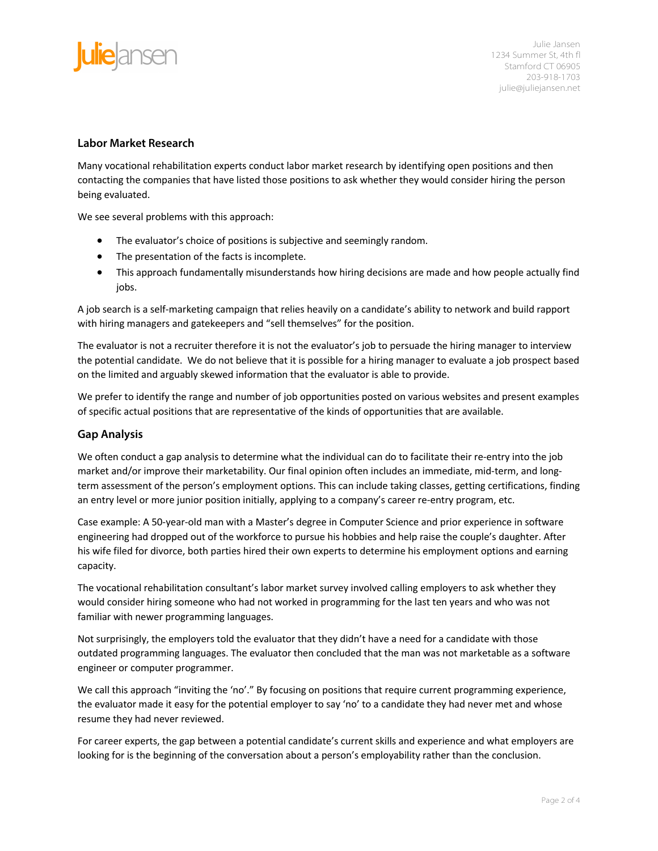

### **Labor Market Research**

Many vocational rehabilitation experts conduct labor market research by identifying open positions and then contacting the companies that have listed those positions to ask whether they would consider hiring the person being evaluated.

We see several problems with this approach:

- The evaluator's choice of positions is subjective and seemingly random.
- The presentation of the facts is incomplete.
- This approach fundamentally misunderstands how hiring decisions are made and how people actually find jobs.

A job search is a self-marketing campaign that relies heavily on a candidate's ability to network and build rapport with hiring managers and gatekeepers and "sell themselves" for the position.

The evaluator is not a recruiter therefore it is not the evaluator's job to persuade the hiring manager to interview the potential candidate. We do not believe that it is possible for a hiring manager to evaluate a job prospect based on the limited and arguably skewed information that the evaluator is able to provide.

We prefer to identify the range and number of job opportunities posted on various websites and present examples of specific actual positions that are representative of the kinds of opportunities that are available.

### **Gap Analysis**

We often conduct a gap analysis to determine what the individual can do to facilitate their re-entry into the job market and/or improve their marketability. Our final opinion often includes an immediate, mid-term, and longterm assessment of the person's employment options. This can include taking classes, getting certifications, finding an entry level or more junior position initially, applying to a company's career re-entry program, etc.

Case example: A 50-year-old man with a Master's degree in Computer Science and prior experience in software engineering had dropped out of the workforce to pursue his hobbies and help raise the couple's daughter. After his wife filed for divorce, both parties hired their own experts to determine his employment options and earning capacity.

The vocational rehabilitation consultant's labor market survey involved calling employers to ask whether they would consider hiring someone who had not worked in programming for the last ten years and who was not familiar with newer programming languages.

Not surprisingly, the employers told the evaluator that they didn't have a need for a candidate with those outdated programming languages. The evaluator then concluded that the man was not marketable as a software engineer or computer programmer.

We call this approach "inviting the 'no'." By focusing on positions that require current programming experience, the evaluator made it easy for the potential employer to say 'no' to a candidate they had never met and whose resume they had never reviewed.

For career experts, the gap between a potential candidate's current skills and experience and what employers are looking for is the beginning of the conversation about a person's employability rather than the conclusion.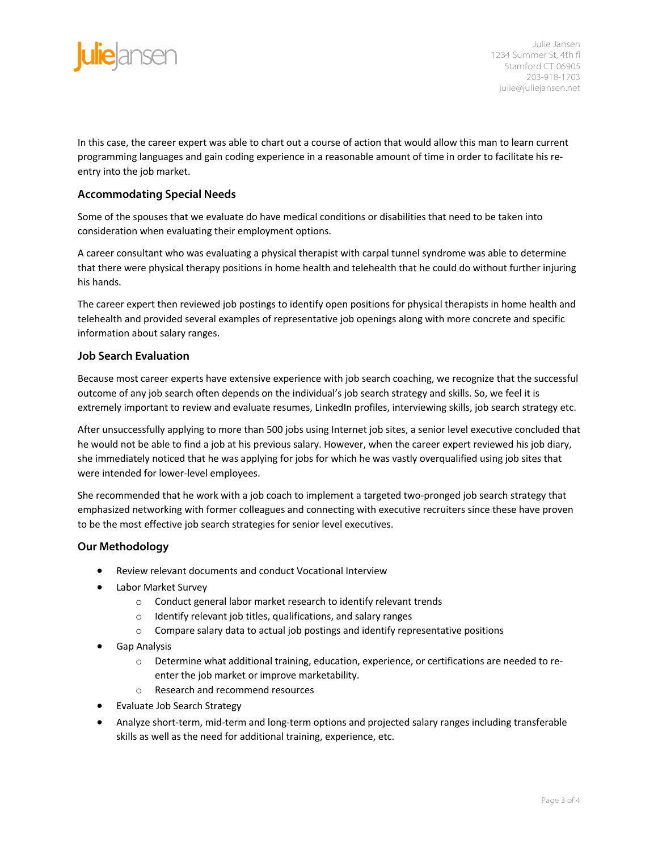

In this case, the career expert was able to chart out a course of action that would allow this man to learn current programming languages and gain coding experience in a reasonable amount of time in order to facilitate his reentry into the job market.

## **Accommodating Special Needs**

Some of the spouses that we evaluate do have medical conditions or disabilities that need to be taken into consideration when evaluating their employment options.

A career consultant who was evaluating a physical therapist with carpal tunnel syndrome was able to determine that there were physical therapy positions in home health and telehealth that he could do without further injuring his hands.

The career expert then reviewed job postings to identify open positions for physical therapists in home health and telehealth and provided several examples of representative job openings along with more concrete and specific information about salary ranges.

### **Job Search Evaluation**

Because most career experts have extensive experience with job search coaching, we recognize that the successful outcome of any job search often depends on the individual's job search strategy and skills. So, we feel it is extremely important to review and evaluate resumes, LinkedIn profiles, interviewing skills, job search strategy etc.

After unsuccessfully applying to more than 500 jobs using Internet job sites, a senior level executive concluded that he would not be able to find a job at his previous salary. However, when the career expert reviewed his job diary, she immediately noticed that he was applying for jobs for which he was vastly overqualified using job sites that were intended for lower-level employees.

She recommended that he work with a job coach to implement a targeted two-pronged job search strategy that emphasized networking with former colleagues and connecting with executive recruiters since these have proven to be the most effective job search strategies for senior level executives.

### **Our Methodology**

- Review relevant documents and conduct Vocational Interview
- Labor Market Survey
	- o Conduct general labor market research to identify relevant trends
	- o Identify relevant job titles, qualifications, and salary ranges
	- o Compare salary data to actual job postings and identify representative positions
- Gap Analysis
	- o Determine what additional training, education, experience, or certifications are needed to reenter the job market or improve marketability.
	- o Research and recommend resources
- Evaluate Job Search Strategy
- Analyze short-term, mid-term and long-term options and projected salary ranges including transferable skills as well as the need for additional training, experience, etc.